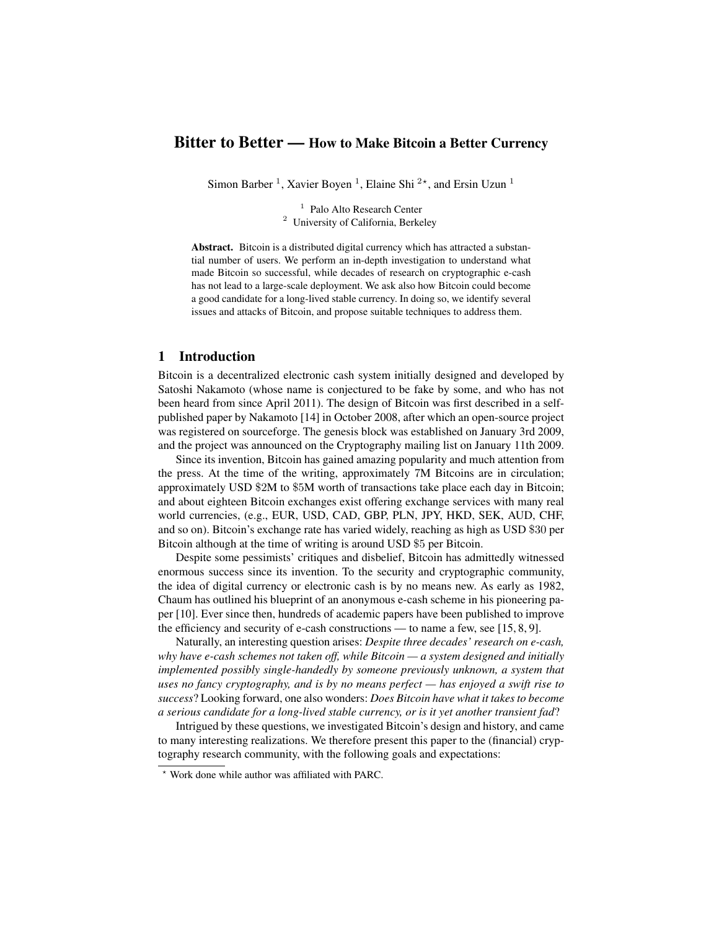# Bitter to Better — How to Make Bitcoin a Better Currency

Simon Barber<sup>1</sup>, Xavier Boyen<sup>1</sup>, Elaine Shi<sup>2\*</sup>, and Ersin Uzun<sup>1</sup>

1 Palo Alto Research Center <sup>2</sup> University of California, Berkeley

Abstract. Bitcoin is a distributed digital currency which has attracted a substantial number of users. We perform an in-depth investigation to understand what made Bitcoin so successful, while decades of research on cryptographic e-cash has not lead to a large-scale deployment. We ask also how Bitcoin could become a good candidate for a long-lived stable currency. In doing so, we identify several issues and attacks of Bitcoin, and propose suitable techniques to address them.

### 1 Introduction

Bitcoin is a decentralized electronic cash system initially designed and developed by Satoshi Nakamoto (whose name is conjectured to be fake by some, and who has not been heard from since April 2011). The design of Bitcoin was first described in a selfpublished paper by Nakamoto [14] in October 2008, after which an open-source project was registered on sourceforge. The genesis block was established on January 3rd 2009, and the project was announced on the Cryptography mailing list on January 11th 2009.

Since its invention, Bitcoin has gained amazing popularity and much attention from the press. At the time of the writing, approximately 7M Bitcoins are in circulation; approximately USD \$2M to \$5M worth of transactions take place each day in Bitcoin; and about eighteen Bitcoin exchanges exist offering exchange services with many real world currencies, (e.g., EUR, USD, CAD, GBP, PLN, JPY, HKD, SEK, AUD, CHF, and so on). Bitcoin's exchange rate has varied widely, reaching as high as USD \$30 per Bitcoin although at the time of writing is around USD \$5 per Bitcoin.

Despite some pessimists' critiques and disbelief, Bitcoin has admittedly witnessed enormous success since its invention. To the security and cryptographic community, the idea of digital currency or electronic cash is by no means new. As early as 1982, Chaum has outlined his blueprint of an anonymous e-cash scheme in his pioneering paper [10]. Ever since then, hundreds of academic papers have been published to improve the efficiency and security of e-cash constructions — to name a few, see [15, 8, 9].

Naturally, an interesting question arises: *Despite three decades' research on e-cash, why have e-cash schemes not taken off, while Bitcoin — a system designed and initially implemented possibly single-handedly by someone previously unknown, a system that uses no fancy cryptography, and is by no means perfect — has enjoyed a swift rise to success*? Looking forward, one also wonders: *Does Bitcoin have what it takes to become a serious candidate for a long-lived stable currency, or is it yet another transient fad*?

Intrigued by these questions, we investigated Bitcoin's design and history, and came to many interesting realizations. We therefore present this paper to the (financial) cryptography research community, with the following goals and expectations:

<sup>?</sup> Work done while author was affiliated with PARC.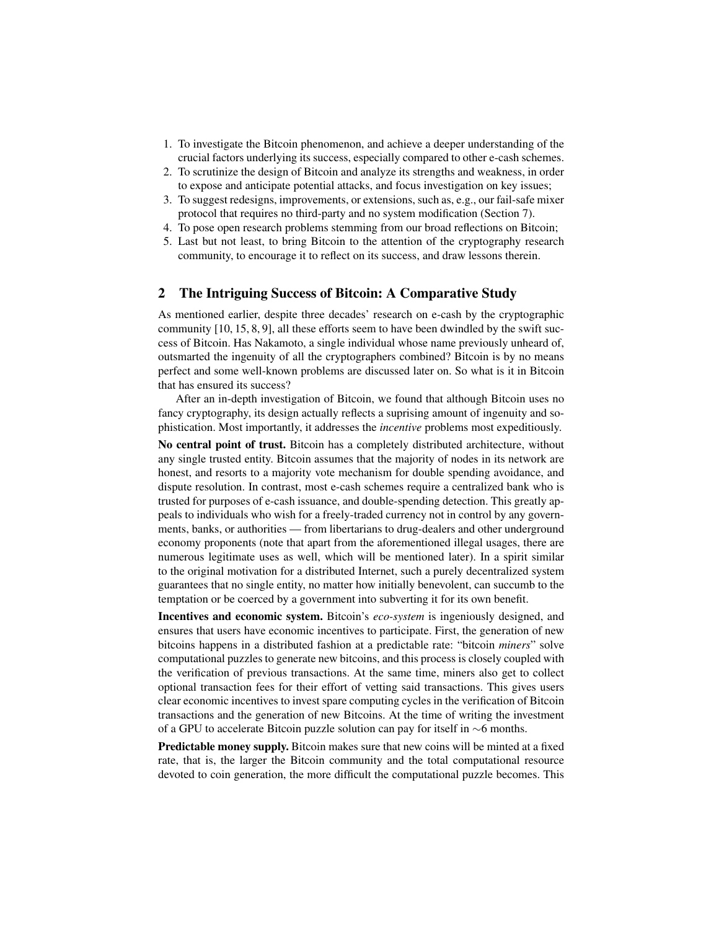- 1. To investigate the Bitcoin phenomenon, and achieve a deeper understanding of the crucial factors underlying its success, especially compared to other e-cash schemes.
- 2. To scrutinize the design of Bitcoin and analyze its strengths and weakness, in order to expose and anticipate potential attacks, and focus investigation on key issues;
- 3. To suggest redesigns, improvements, or extensions, such as, e.g., our fail-safe mixer protocol that requires no third-party and no system modification (Section 7).
- 4. To pose open research problems stemming from our broad reflections on Bitcoin;
- 5. Last but not least, to bring Bitcoin to the attention of the cryptography research community, to encourage it to reflect on its success, and draw lessons therein.

### 2 The Intriguing Success of Bitcoin: A Comparative Study

As mentioned earlier, despite three decades' research on e-cash by the cryptographic community [10, 15, 8, 9], all these efforts seem to have been dwindled by the swift success of Bitcoin. Has Nakamoto, a single individual whose name previously unheard of, outsmarted the ingenuity of all the cryptographers combined? Bitcoin is by no means perfect and some well-known problems are discussed later on. So what is it in Bitcoin that has ensured its success?

After an in-depth investigation of Bitcoin, we found that although Bitcoin uses no fancy cryptography, its design actually reflects a suprising amount of ingenuity and sophistication. Most importantly, it addresses the *incentive* problems most expeditiously.

No central point of trust. Bitcoin has a completely distributed architecture, without any single trusted entity. Bitcoin assumes that the majority of nodes in its network are honest, and resorts to a majority vote mechanism for double spending avoidance, and dispute resolution. In contrast, most e-cash schemes require a centralized bank who is trusted for purposes of e-cash issuance, and double-spending detection. This greatly appeals to individuals who wish for a freely-traded currency not in control by any governments, banks, or authorities — from libertarians to drug-dealers and other underground economy proponents (note that apart from the aforementioned illegal usages, there are numerous legitimate uses as well, which will be mentioned later). In a spirit similar to the original motivation for a distributed Internet, such a purely decentralized system guarantees that no single entity, no matter how initially benevolent, can succumb to the temptation or be coerced by a government into subverting it for its own benefit.

Incentives and economic system. Bitcoin's *eco-system* is ingeniously designed, and ensures that users have economic incentives to participate. First, the generation of new bitcoins happens in a distributed fashion at a predictable rate: "bitcoin *miners*" solve computational puzzles to generate new bitcoins, and this process is closely coupled with the verification of previous transactions. At the same time, miners also get to collect optional transaction fees for their effort of vetting said transactions. This gives users clear economic incentives to invest spare computing cycles in the verification of Bitcoin transactions and the generation of new Bitcoins. At the time of writing the investment of a GPU to accelerate Bitcoin puzzle solution can pay for itself in ∼6 months.

Predictable money supply. Bitcoin makes sure that new coins will be minted at a fixed rate, that is, the larger the Bitcoin community and the total computational resource devoted to coin generation, the more difficult the computational puzzle becomes. This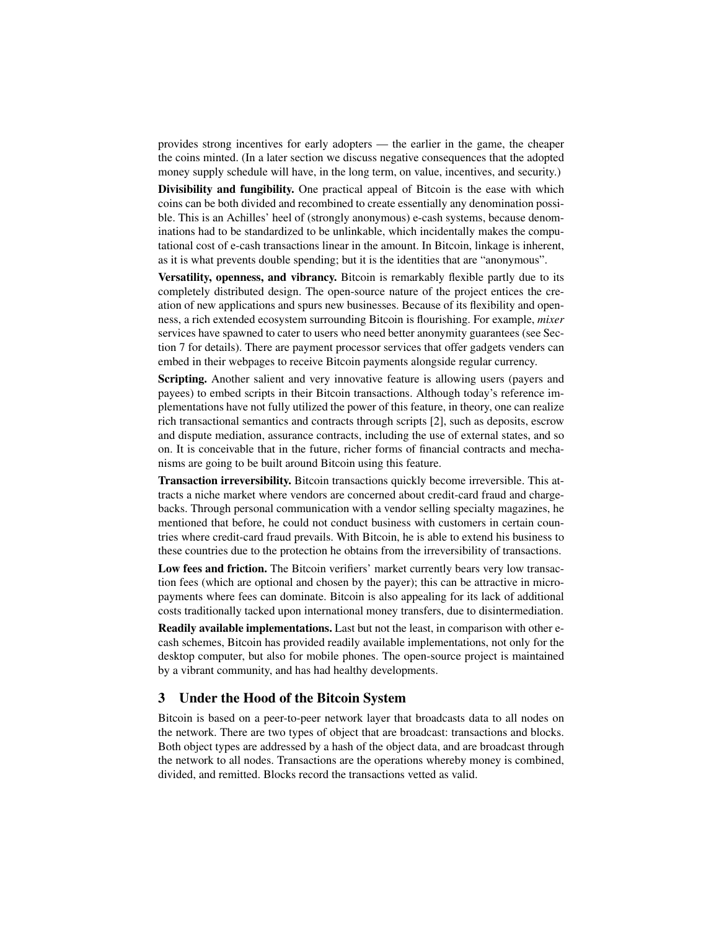provides strong incentives for early adopters — the earlier in the game, the cheaper the coins minted. (In a later section we discuss negative consequences that the adopted money supply schedule will have, in the long term, on value, incentives, and security.)

Divisibility and fungibility. One practical appeal of Bitcoin is the ease with which coins can be both divided and recombined to create essentially any denomination possible. This is an Achilles' heel of (strongly anonymous) e-cash systems, because denominations had to be standardized to be unlinkable, which incidentally makes the computational cost of e-cash transactions linear in the amount. In Bitcoin, linkage is inherent, as it is what prevents double spending; but it is the identities that are "anonymous".

Versatility, openness, and vibrancy. Bitcoin is remarkably flexible partly due to its completely distributed design. The open-source nature of the project entices the creation of new applications and spurs new businesses. Because of its flexibility and openness, a rich extended ecosystem surrounding Bitcoin is flourishing. For example, *mixer* services have spawned to cater to users who need better anonymity guarantees (see Section 7 for details). There are payment processor services that offer gadgets venders can embed in their webpages to receive Bitcoin payments alongside regular currency.

Scripting. Another salient and very innovative feature is allowing users (payers and payees) to embed scripts in their Bitcoin transactions. Although today's reference implementations have not fully utilized the power of this feature, in theory, one can realize rich transactional semantics and contracts through scripts [2], such as deposits, escrow and dispute mediation, assurance contracts, including the use of external states, and so on. It is conceivable that in the future, richer forms of financial contracts and mechanisms are going to be built around Bitcoin using this feature.

Transaction irreversibility. Bitcoin transactions quickly become irreversible. This attracts a niche market where vendors are concerned about credit-card fraud and chargebacks. Through personal communication with a vendor selling specialty magazines, he mentioned that before, he could not conduct business with customers in certain countries where credit-card fraud prevails. With Bitcoin, he is able to extend his business to these countries due to the protection he obtains from the irreversibility of transactions.

Low fees and friction. The Bitcoin verifiers' market currently bears very low transaction fees (which are optional and chosen by the payer); this can be attractive in micropayments where fees can dominate. Bitcoin is also appealing for its lack of additional costs traditionally tacked upon international money transfers, due to disintermediation.

Readily available implementations. Last but not the least, in comparison with other ecash schemes, Bitcoin has provided readily available implementations, not only for the desktop computer, but also for mobile phones. The open-source project is maintained by a vibrant community, and has had healthy developments.

## 3 Under the Hood of the Bitcoin System

Bitcoin is based on a peer-to-peer network layer that broadcasts data to all nodes on the network. There are two types of object that are broadcast: transactions and blocks. Both object types are addressed by a hash of the object data, and are broadcast through the network to all nodes. Transactions are the operations whereby money is combined, divided, and remitted. Blocks record the transactions vetted as valid.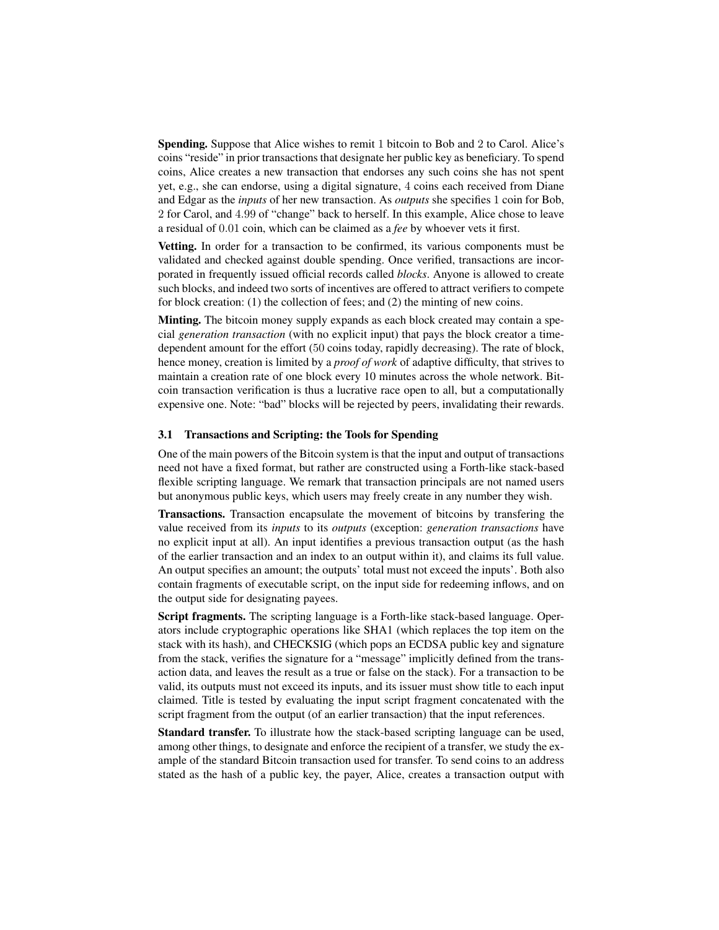Spending. Suppose that Alice wishes to remit 1 bitcoin to Bob and 2 to Carol. Alice's coins "reside" in prior transactions that designate her public key as beneficiary. To spend coins, Alice creates a new transaction that endorses any such coins she has not spent yet, e.g., she can endorse, using a digital signature, 4 coins each received from Diane and Edgar as the *inputs* of her new transaction. As *outputs* she specifies 1 coin for Bob, 2 for Carol, and 4.99 of "change" back to herself. In this example, Alice chose to leave a residual of 0.01 coin, which can be claimed as a *fee* by whoever vets it first.

Vetting. In order for a transaction to be confirmed, its various components must be validated and checked against double spending. Once verified, transactions are incorporated in frequently issued official records called *blocks*. Anyone is allowed to create such blocks, and indeed two sorts of incentives are offered to attract verifiers to compete for block creation: (1) the collection of fees; and (2) the minting of new coins.

Minting. The bitcoin money supply expands as each block created may contain a special *generation transaction* (with no explicit input) that pays the block creator a timedependent amount for the effort (50 coins today, rapidly decreasing). The rate of block, hence money, creation is limited by a *proof of work* of adaptive difficulty, that strives to maintain a creation rate of one block every 10 minutes across the whole network. Bitcoin transaction verification is thus a lucrative race open to all, but a computationally expensive one. Note: "bad" blocks will be rejected by peers, invalidating their rewards.

## 3.1 Transactions and Scripting: the Tools for Spending

One of the main powers of the Bitcoin system is that the input and output of transactions need not have a fixed format, but rather are constructed using a Forth-like stack-based flexible scripting language. We remark that transaction principals are not named users but anonymous public keys, which users may freely create in any number they wish.

Transactions. Transaction encapsulate the movement of bitcoins by transfering the value received from its *inputs* to its *outputs* (exception: *generation transactions* have no explicit input at all). An input identifies a previous transaction output (as the hash of the earlier transaction and an index to an output within it), and claims its full value. An output specifies an amount; the outputs' total must not exceed the inputs'. Both also contain fragments of executable script, on the input side for redeeming inflows, and on the output side for designating payees.

Script fragments. The scripting language is a Forth-like stack-based language. Operators include cryptographic operations like SHA1 (which replaces the top item on the stack with its hash), and CHECKSIG (which pops an ECDSA public key and signature from the stack, verifies the signature for a "message" implicitly defined from the transaction data, and leaves the result as a true or false on the stack). For a transaction to be valid, its outputs must not exceed its inputs, and its issuer must show title to each input claimed. Title is tested by evaluating the input script fragment concatenated with the script fragment from the output (of an earlier transaction) that the input references.

Standard transfer. To illustrate how the stack-based scripting language can be used, among other things, to designate and enforce the recipient of a transfer, we study the example of the standard Bitcoin transaction used for transfer. To send coins to an address stated as the hash of a public key, the payer, Alice, creates a transaction output with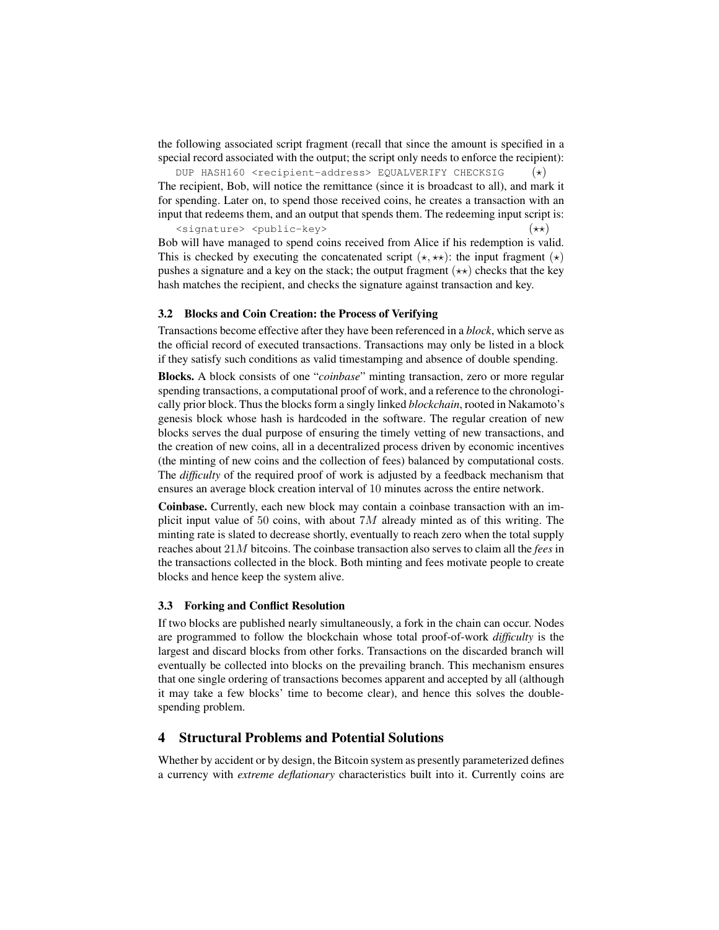the following associated script fragment (recall that since the amount is specified in a special record associated with the output; the script only needs to enforce the recipient):

DUP HASH160 <recipient-address> EQUALVERIFY CHECKSIG  $(*)$ The recipient, Bob, will notice the remittance (since it is broadcast to all), and mark it for spending. Later on, to spend those received coins, he creates a transaction with an input that redeems them, and an output that spends them. The redeeming input script is:  $\langle$  signature>  $\langle$  public-key> ( $\star\star$ )

Bob will have managed to spend coins received from Alice if his redemption is valid. This is checked by executing the concatenated script  $(\star, \star\star)$ : the input fragment  $(\star)$ pushes a signature and a key on the stack; the output fragment  $(\star \star)$  checks that the key hash matches the recipient, and checks the signature against transaction and key.

### 3.2 Blocks and Coin Creation: the Process of Verifying

Transactions become effective after they have been referenced in a *block*, which serve as the official record of executed transactions. Transactions may only be listed in a block if they satisfy such conditions as valid timestamping and absence of double spending.

Blocks. A block consists of one "*coinbase*" minting transaction, zero or more regular spending transactions, a computational proof of work, and a reference to the chronologically prior block. Thus the blocks form a singly linked *blockchain*, rooted in Nakamoto's genesis block whose hash is hardcoded in the software. The regular creation of new blocks serves the dual purpose of ensuring the timely vetting of new transactions, and the creation of new coins, all in a decentralized process driven by economic incentives (the minting of new coins and the collection of fees) balanced by computational costs. The *difficulty* of the required proof of work is adjusted by a feedback mechanism that ensures an average block creation interval of 10 minutes across the entire network.

Coinbase. Currently, each new block may contain a coinbase transaction with an implicit input value of 50 coins, with about  $7M$  already minted as of this writing. The minting rate is slated to decrease shortly, eventually to reach zero when the total supply reaches about 21M bitcoins. The coinbase transaction also serves to claim all the *fees* in the transactions collected in the block. Both minting and fees motivate people to create blocks and hence keep the system alive.

#### 3.3 Forking and Conflict Resolution

If two blocks are published nearly simultaneously, a fork in the chain can occur. Nodes are programmed to follow the blockchain whose total proof-of-work *difficulty* is the largest and discard blocks from other forks. Transactions on the discarded branch will eventually be collected into blocks on the prevailing branch. This mechanism ensures that one single ordering of transactions becomes apparent and accepted by all (although it may take a few blocks' time to become clear), and hence this solves the doublespending problem.

### 4 Structural Problems and Potential Solutions

Whether by accident or by design, the Bitcoin system as presently parameterized defines a currency with *extreme deflationary* characteristics built into it. Currently coins are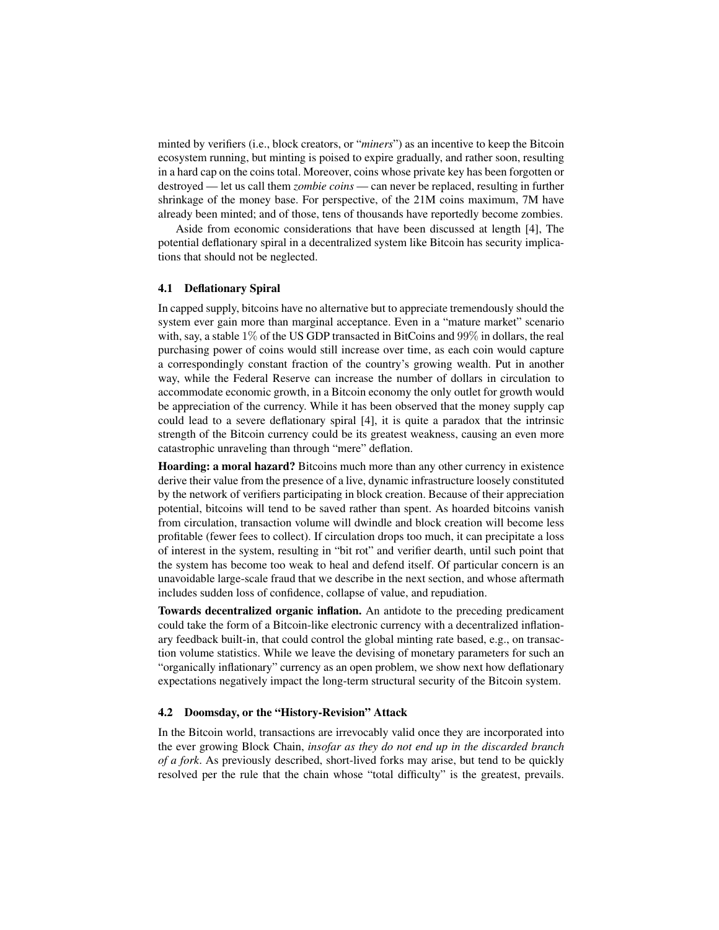minted by verifiers (i.e., block creators, or "*miners*") as an incentive to keep the Bitcoin ecosystem running, but minting is poised to expire gradually, and rather soon, resulting in a hard cap on the coins total. Moreover, coins whose private key has been forgotten or destroyed — let us call them *zombie coins* — can never be replaced, resulting in further shrinkage of the money base. For perspective, of the 21M coins maximum, 7M have already been minted; and of those, tens of thousands have reportedly become zombies.

Aside from economic considerations that have been discussed at length [4], The potential deflationary spiral in a decentralized system like Bitcoin has security implications that should not be neglected.

### 4.1 Deflationary Spiral

In capped supply, bitcoins have no alternative but to appreciate tremendously should the system ever gain more than marginal acceptance. Even in a "mature market" scenario with, say, a stable 1% of the US GDP transacted in BitCoins and 99% in dollars, the real purchasing power of coins would still increase over time, as each coin would capture a correspondingly constant fraction of the country's growing wealth. Put in another way, while the Federal Reserve can increase the number of dollars in circulation to accommodate economic growth, in a Bitcoin economy the only outlet for growth would be appreciation of the currency. While it has been observed that the money supply cap could lead to a severe deflationary spiral [4], it is quite a paradox that the intrinsic strength of the Bitcoin currency could be its greatest weakness, causing an even more catastrophic unraveling than through "mere" deflation.

Hoarding: a moral hazard? Bitcoins much more than any other currency in existence derive their value from the presence of a live, dynamic infrastructure loosely constituted by the network of verifiers participating in block creation. Because of their appreciation potential, bitcoins will tend to be saved rather than spent. As hoarded bitcoins vanish from circulation, transaction volume will dwindle and block creation will become less profitable (fewer fees to collect). If circulation drops too much, it can precipitate a loss of interest in the system, resulting in "bit rot" and verifier dearth, until such point that the system has become too weak to heal and defend itself. Of particular concern is an unavoidable large-scale fraud that we describe in the next section, and whose aftermath includes sudden loss of confidence, collapse of value, and repudiation.

Towards decentralized organic inflation. An antidote to the preceding predicament could take the form of a Bitcoin-like electronic currency with a decentralized inflationary feedback built-in, that could control the global minting rate based, e.g., on transaction volume statistics. While we leave the devising of monetary parameters for such an "organically inflationary" currency as an open problem, we show next how deflationary expectations negatively impact the long-term structural security of the Bitcoin system.

### 4.2 Doomsday, or the "History-Revision" Attack

In the Bitcoin world, transactions are irrevocably valid once they are incorporated into the ever growing Block Chain, *insofar as they do not end up in the discarded branch of a fork*. As previously described, short-lived forks may arise, but tend to be quickly resolved per the rule that the chain whose "total difficulty" is the greatest, prevails.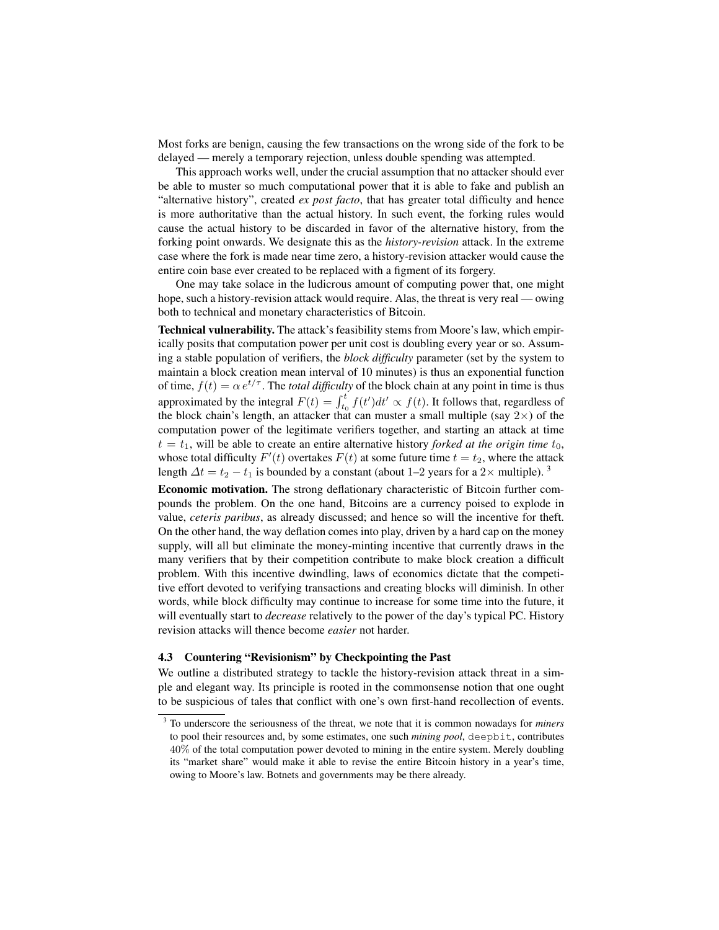Most forks are benign, causing the few transactions on the wrong side of the fork to be delayed — merely a temporary rejection, unless double spending was attempted.

This approach works well, under the crucial assumption that no attacker should ever be able to muster so much computational power that it is able to fake and publish an "alternative history", created *ex post facto*, that has greater total difficulty and hence is more authoritative than the actual history. In such event, the forking rules would cause the actual history to be discarded in favor of the alternative history, from the forking point onwards. We designate this as the *history-revision* attack. In the extreme case where the fork is made near time zero, a history-revision attacker would cause the entire coin base ever created to be replaced with a figment of its forgery.

One may take solace in the ludicrous amount of computing power that, one might hope, such a history-revision attack would require. Alas, the threat is very real — owing both to technical and monetary characteristics of Bitcoin.

Technical vulnerability. The attack's feasibility stems from Moore's law, which empirically posits that computation power per unit cost is doubling every year or so. Assuming a stable population of verifiers, the *block difficulty* parameter (set by the system to maintain a block creation mean interval of 10 minutes) is thus an exponential function of time,  $f(t) = \alpha e^{t/\tau}$ . The *total difficulty* of the block chain at any point in time is thus approximated by the integral  $F(t) = \int_{t_0}^{t} f(t')dt' \propto f(t)$ . It follows that, regardless of the block chain's length, an attacker that can muster a small multiple (say  $2\times$ ) of the computation power of the legitimate verifiers together, and starting an attack at time  $t = t_1$ , will be able to create an entire alternative history *forked at the origin time*  $t_0$ , whose total difficulty  $F'(t)$  overtakes  $F(t)$  at some future time  $t = t_2$ , where the attack length  $\Delta t = t_2 - t_1$  is bounded by a constant (about 1–2 years for a 2× multiple).<sup>3</sup>

Economic motivation. The strong deflationary characteristic of Bitcoin further compounds the problem. On the one hand, Bitcoins are a currency poised to explode in value, *ceteris paribus*, as already discussed; and hence so will the incentive for theft. On the other hand, the way deflation comes into play, driven by a hard cap on the money supply, will all but eliminate the money-minting incentive that currently draws in the many verifiers that by their competition contribute to make block creation a difficult problem. With this incentive dwindling, laws of economics dictate that the competitive effort devoted to verifying transactions and creating blocks will diminish. In other words, while block difficulty may continue to increase for some time into the future, it will eventually start to *decrease* relatively to the power of the day's typical PC. History revision attacks will thence become *easier* not harder.

#### 4.3 Countering "Revisionism" by Checkpointing the Past

We outline a distributed strategy to tackle the history-revision attack threat in a simple and elegant way. Its principle is rooted in the commonsense notion that one ought to be suspicious of tales that conflict with one's own first-hand recollection of events.

<sup>3</sup> To underscore the seriousness of the threat, we note that it is common nowadays for *miners* to pool their resources and, by some estimates, one such *mining pool*, deepbit, contributes 40% of the total computation power devoted to mining in the entire system. Merely doubling its "market share" would make it able to revise the entire Bitcoin history in a year's time, owing to Moore's law. Botnets and governments may be there already.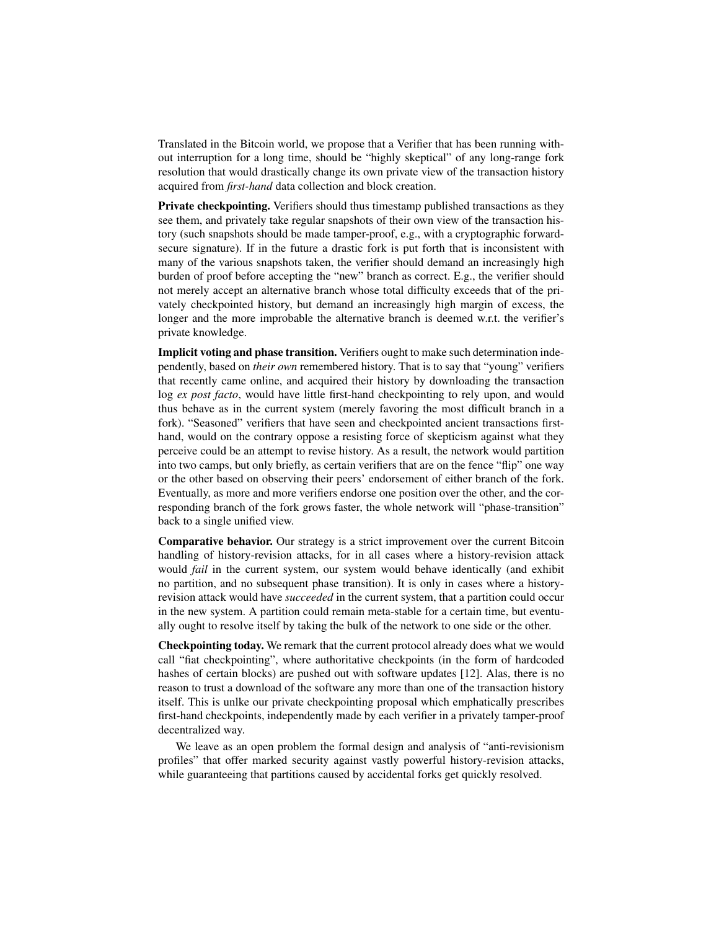Translated in the Bitcoin world, we propose that a Verifier that has been running without interruption for a long time, should be "highly skeptical" of any long-range fork resolution that would drastically change its own private view of the transaction history acquired from *first-hand* data collection and block creation.

Private checkpointing. Verifiers should thus timestamp published transactions as they see them, and privately take regular snapshots of their own view of the transaction history (such snapshots should be made tamper-proof, e.g., with a cryptographic forwardsecure signature). If in the future a drastic fork is put forth that is inconsistent with many of the various snapshots taken, the verifier should demand an increasingly high burden of proof before accepting the "new" branch as correct. E.g., the verifier should not merely accept an alternative branch whose total difficulty exceeds that of the privately checkpointed history, but demand an increasingly high margin of excess, the longer and the more improbable the alternative branch is deemed w.r.t. the verifier's private knowledge.

Implicit voting and phase transition. Verifiers ought to make such determination independently, based on *their own* remembered history. That is to say that "young" verifiers that recently came online, and acquired their history by downloading the transaction log *ex post facto*, would have little first-hand checkpointing to rely upon, and would thus behave as in the current system (merely favoring the most difficult branch in a fork). "Seasoned" verifiers that have seen and checkpointed ancient transactions firsthand, would on the contrary oppose a resisting force of skepticism against what they perceive could be an attempt to revise history. As a result, the network would partition into two camps, but only briefly, as certain verifiers that are on the fence "flip" one way or the other based on observing their peers' endorsement of either branch of the fork. Eventually, as more and more verifiers endorse one position over the other, and the corresponding branch of the fork grows faster, the whole network will "phase-transition" back to a single unified view.

Comparative behavior. Our strategy is a strict improvement over the current Bitcoin handling of history-revision attacks, for in all cases where a history-revision attack would *fail* in the current system, our system would behave identically (and exhibit no partition, and no subsequent phase transition). It is only in cases where a historyrevision attack would have *succeeded* in the current system, that a partition could occur in the new system. A partition could remain meta-stable for a certain time, but eventually ought to resolve itself by taking the bulk of the network to one side or the other.

Checkpointing today. We remark that the current protocol already does what we would call "fiat checkpointing", where authoritative checkpoints (in the form of hardcoded hashes of certain blocks) are pushed out with software updates [12]. Alas, there is no reason to trust a download of the software any more than one of the transaction history itself. This is unlke our private checkpointing proposal which emphatically prescribes first-hand checkpoints, independently made by each verifier in a privately tamper-proof decentralized way.

We leave as an open problem the formal design and analysis of "anti-revisionism profiles" that offer marked security against vastly powerful history-revision attacks, while guaranteeing that partitions caused by accidental forks get quickly resolved.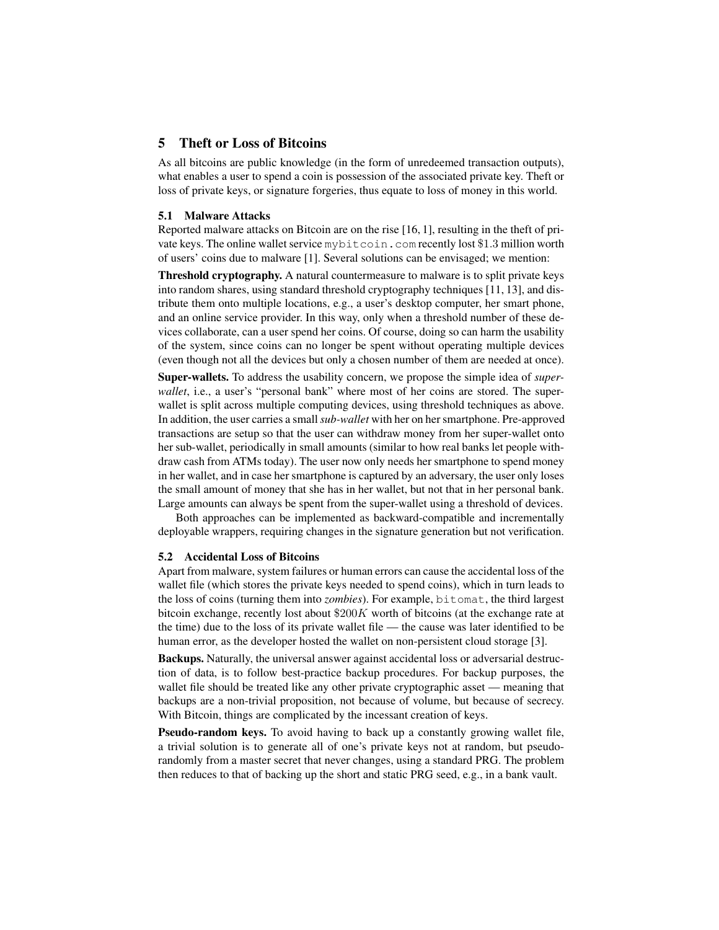# 5 Theft or Loss of Bitcoins

As all bitcoins are public knowledge (in the form of unredeemed transaction outputs), what enables a user to spend a coin is possession of the associated private key. Theft or loss of private keys, or signature forgeries, thus equate to loss of money in this world.

### 5.1 Malware Attacks

Reported malware attacks on Bitcoin are on the rise [16, 1], resulting in the theft of private keys. The online wallet service mybitcoin.com recently lost \$1.3 million worth of users' coins due to malware [1]. Several solutions can be envisaged; we mention:

Threshold cryptography. A natural countermeasure to malware is to split private keys into random shares, using standard threshold cryptography techniques [11, 13], and distribute them onto multiple locations, e.g., a user's desktop computer, her smart phone, and an online service provider. In this way, only when a threshold number of these devices collaborate, can a user spend her coins. Of course, doing so can harm the usability of the system, since coins can no longer be spent without operating multiple devices (even though not all the devices but only a chosen number of them are needed at once).

Super-wallets. To address the usability concern, we propose the simple idea of *superwallet*, i.e., a user's "personal bank" where most of her coins are stored. The superwallet is split across multiple computing devices, using threshold techniques as above. In addition, the user carries a small*sub-wallet* with her on her smartphone. Pre-approved transactions are setup so that the user can withdraw money from her super-wallet onto her sub-wallet, periodically in small amounts (similar to how real banks let people withdraw cash from ATMs today). The user now only needs her smartphone to spend money in her wallet, and in case her smartphone is captured by an adversary, the user only loses the small amount of money that she has in her wallet, but not that in her personal bank. Large amounts can always be spent from the super-wallet using a threshold of devices.

Both approaches can be implemented as backward-compatible and incrementally deployable wrappers, requiring changes in the signature generation but not verification.

#### 5.2 Accidental Loss of Bitcoins

Apart from malware, system failures or human errors can cause the accidental loss of the wallet file (which stores the private keys needed to spend coins), which in turn leads to the loss of coins (turning them into *zombies*). For example, bitomat, the third largest bitcoin exchange, recently lost about \$200K worth of bitcoins (at the exchange rate at the time) due to the loss of its private wallet file — the cause was later identified to be human error, as the developer hosted the wallet on non-persistent cloud storage [3].

Backups. Naturally, the universal answer against accidental loss or adversarial destruction of data, is to follow best-practice backup procedures. For backup purposes, the wallet file should be treated like any other private cryptographic asset — meaning that backups are a non-trivial proposition, not because of volume, but because of secrecy. With Bitcoin, things are complicated by the incessant creation of keys.

Pseudo-random keys. To avoid having to back up a constantly growing wallet file, a trivial solution is to generate all of one's private keys not at random, but pseudorandomly from a master secret that never changes, using a standard PRG. The problem then reduces to that of backing up the short and static PRG seed, e.g., in a bank vault.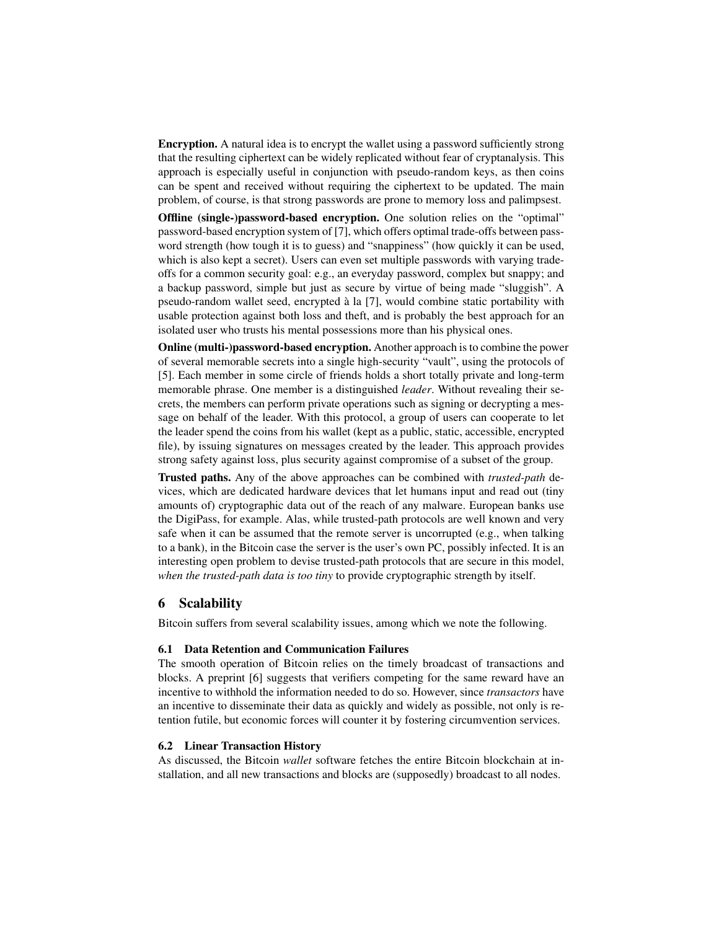Encryption. A natural idea is to encrypt the wallet using a password sufficiently strong that the resulting ciphertext can be widely replicated without fear of cryptanalysis. This approach is especially useful in conjunction with pseudo-random keys, as then coins can be spent and received without requiring the ciphertext to be updated. The main problem, of course, is that strong passwords are prone to memory loss and palimpsest.

Offline (single-)password-based encryption. One solution relies on the "optimal" password-based encryption system of [7], which offers optimal trade-offs between password strength (how tough it is to guess) and "snappiness" (how quickly it can be used, which is also kept a secret). Users can even set multiple passwords with varying tradeoffs for a common security goal: e.g., an everyday password, complex but snappy; and a backup password, simple but just as secure by virtue of being made "sluggish". A pseudo-random wallet seed, encrypted à la [7], would combine static portability with usable protection against both loss and theft, and is probably the best approach for an isolated user who trusts his mental possessions more than his physical ones.

Online (multi-)password-based encryption. Another approach is to combine the power of several memorable secrets into a single high-security "vault", using the protocols of [5]. Each member in some circle of friends holds a short totally private and long-term memorable phrase. One member is a distinguished *leader*. Without revealing their secrets, the members can perform private operations such as signing or decrypting a message on behalf of the leader. With this protocol, a group of users can cooperate to let the leader spend the coins from his wallet (kept as a public, static, accessible, encrypted file), by issuing signatures on messages created by the leader. This approach provides strong safety against loss, plus security against compromise of a subset of the group.

Trusted paths. Any of the above approaches can be combined with *trusted-path* devices, which are dedicated hardware devices that let humans input and read out (tiny amounts of) cryptographic data out of the reach of any malware. European banks use the DigiPass, for example. Alas, while trusted-path protocols are well known and very safe when it can be assumed that the remote server is uncorrupted (e.g., when talking to a bank), in the Bitcoin case the server is the user's own PC, possibly infected. It is an interesting open problem to devise trusted-path protocols that are secure in this model, *when the trusted-path data is too tiny* to provide cryptographic strength by itself.

## 6 Scalability

Bitcoin suffers from several scalability issues, among which we note the following.

#### 6.1 Data Retention and Communication Failures

The smooth operation of Bitcoin relies on the timely broadcast of transactions and blocks. A preprint [6] suggests that verifiers competing for the same reward have an incentive to withhold the information needed to do so. However, since *transactors* have an incentive to disseminate their data as quickly and widely as possible, not only is retention futile, but economic forces will counter it by fostering circumvention services.

#### 6.2 Linear Transaction History

As discussed, the Bitcoin *wallet* software fetches the entire Bitcoin blockchain at installation, and all new transactions and blocks are (supposedly) broadcast to all nodes.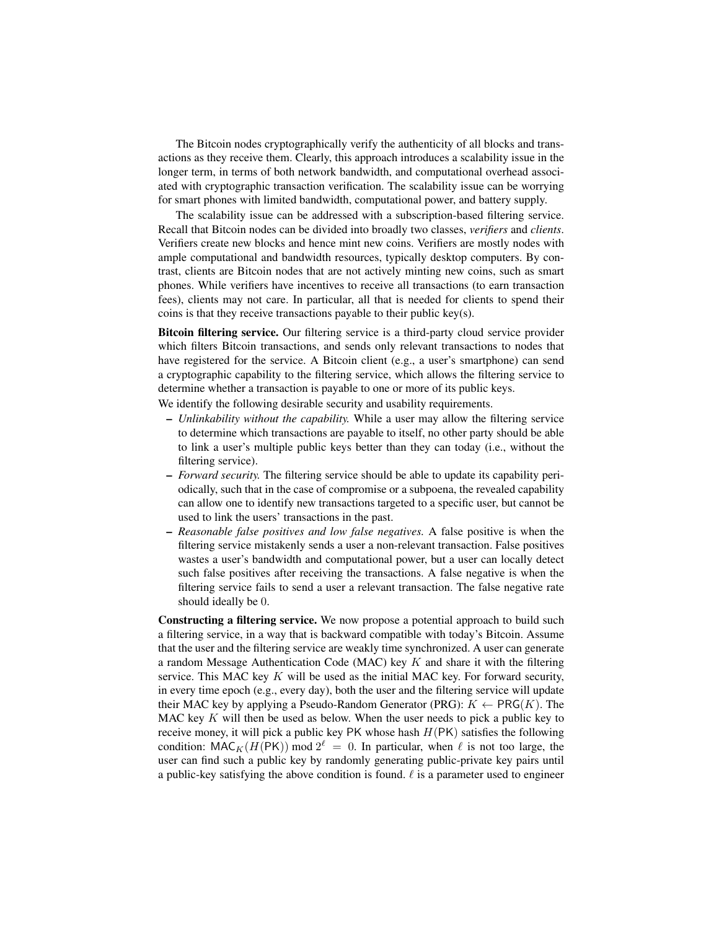The Bitcoin nodes cryptographically verify the authenticity of all blocks and transactions as they receive them. Clearly, this approach introduces a scalability issue in the longer term, in terms of both network bandwidth, and computational overhead associated with cryptographic transaction verification. The scalability issue can be worrying for smart phones with limited bandwidth, computational power, and battery supply.

The scalability issue can be addressed with a subscription-based filtering service. Recall that Bitcoin nodes can be divided into broadly two classes, *verifiers* and *clients*. Verifiers create new blocks and hence mint new coins. Verifiers are mostly nodes with ample computational and bandwidth resources, typically desktop computers. By contrast, clients are Bitcoin nodes that are not actively minting new coins, such as smart phones. While verifiers have incentives to receive all transactions (to earn transaction fees), clients may not care. In particular, all that is needed for clients to spend their coins is that they receive transactions payable to their public key(s).

Bitcoin filtering service. Our filtering service is a third-party cloud service provider which filters Bitcoin transactions, and sends only relevant transactions to nodes that have registered for the service. A Bitcoin client (e.g., a user's smartphone) can send a cryptographic capability to the filtering service, which allows the filtering service to determine whether a transaction is payable to one or more of its public keys.

We identify the following desirable security and usability requirements.

- *Unlinkability without the capability.* While a user may allow the filtering service to determine which transactions are payable to itself, no other party should be able to link a user's multiple public keys better than they can today (i.e., without the filtering service).
- *Forward security.* The filtering service should be able to update its capability periodically, such that in the case of compromise or a subpoena, the revealed capability can allow one to identify new transactions targeted to a specific user, but cannot be used to link the users' transactions in the past.
- *Reasonable false positives and low false negatives.* A false positive is when the filtering service mistakenly sends a user a non-relevant transaction. False positives wastes a user's bandwidth and computational power, but a user can locally detect such false positives after receiving the transactions. A false negative is when the filtering service fails to send a user a relevant transaction. The false negative rate should ideally be 0.

Constructing a filtering service. We now propose a potential approach to build such a filtering service, in a way that is backward compatible with today's Bitcoin. Assume that the user and the filtering service are weakly time synchronized. A user can generate a random Message Authentication Code (MAC) key  $K$  and share it with the filtering service. This MAC key  $K$  will be used as the initial MAC key. For forward security, in every time epoch (e.g., every day), both the user and the filtering service will update their MAC key by applying a Pseudo-Random Generator (PRG):  $K \leftarrow PRG(K)$ . The MAC key  $K$  will then be used as below. When the user needs to pick a public key to receive money, it will pick a public key PK whose hash  $H(PK)$  satisfies the following condition:  $\mathsf{MAC}_K(H(\mathsf{PK})) \bmod 2^\ell = 0$ . In particular, when  $\ell$  is not too large, the user can find such a public key by randomly generating public-private key pairs until a public-key satisfying the above condition is found.  $\ell$  is a parameter used to engineer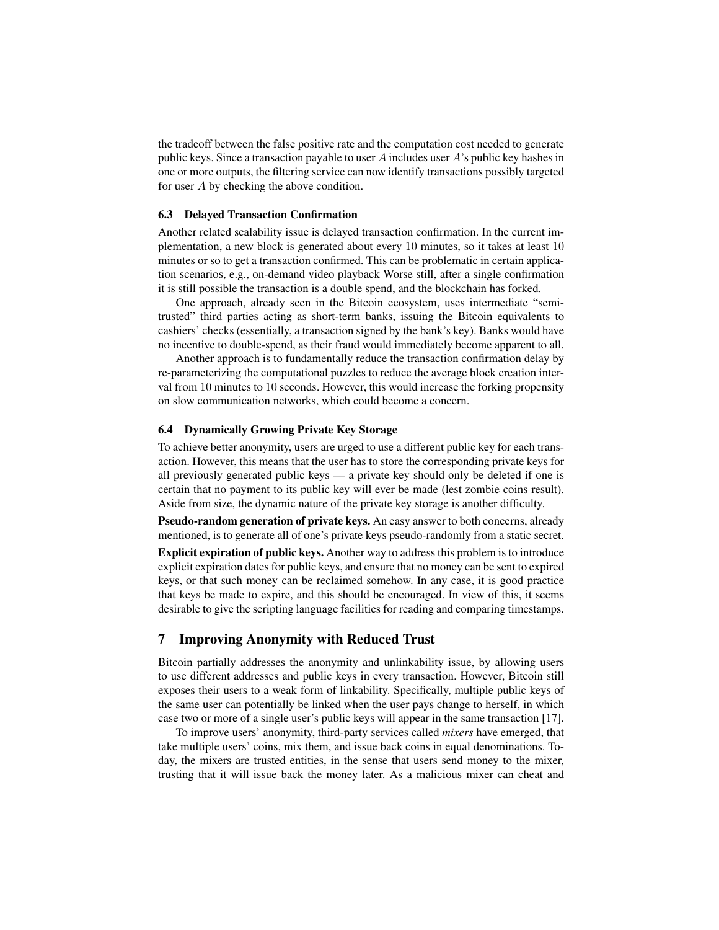the tradeoff between the false positive rate and the computation cost needed to generate public keys. Since a transaction payable to user A includes user A's public key hashes in one or more outputs, the filtering service can now identify transactions possibly targeted for user A by checking the above condition.

#### 6.3 Delayed Transaction Confirmation

Another related scalability issue is delayed transaction confirmation. In the current implementation, a new block is generated about every 10 minutes, so it takes at least 10 minutes or so to get a transaction confirmed. This can be problematic in certain application scenarios, e.g., on-demand video playback Worse still, after a single confirmation it is still possible the transaction is a double spend, and the blockchain has forked.

One approach, already seen in the Bitcoin ecosystem, uses intermediate "semitrusted" third parties acting as short-term banks, issuing the Bitcoin equivalents to cashiers' checks (essentially, a transaction signed by the bank's key). Banks would have no incentive to double-spend, as their fraud would immediately become apparent to all.

Another approach is to fundamentally reduce the transaction confirmation delay by re-parameterizing the computational puzzles to reduce the average block creation interval from 10 minutes to 10 seconds. However, this would increase the forking propensity on slow communication networks, which could become a concern.

#### 6.4 Dynamically Growing Private Key Storage

To achieve better anonymity, users are urged to use a different public key for each transaction. However, this means that the user has to store the corresponding private keys for all previously generated public keys — a private key should only be deleted if one is certain that no payment to its public key will ever be made (lest zombie coins result). Aside from size, the dynamic nature of the private key storage is another difficulty.

Pseudo-random generation of private keys. An easy answer to both concerns, already mentioned, is to generate all of one's private keys pseudo-randomly from a static secret.

Explicit expiration of public keys. Another way to address this problem is to introduce explicit expiration dates for public keys, and ensure that no money can be sent to expired keys, or that such money can be reclaimed somehow. In any case, it is good practice that keys be made to expire, and this should be encouraged. In view of this, it seems desirable to give the scripting language facilities for reading and comparing timestamps.

# 7 Improving Anonymity with Reduced Trust

Bitcoin partially addresses the anonymity and unlinkability issue, by allowing users to use different addresses and public keys in every transaction. However, Bitcoin still exposes their users to a weak form of linkability. Specifically, multiple public keys of the same user can potentially be linked when the user pays change to herself, in which case two or more of a single user's public keys will appear in the same transaction [17].

To improve users' anonymity, third-party services called *mixers* have emerged, that take multiple users' coins, mix them, and issue back coins in equal denominations. Today, the mixers are trusted entities, in the sense that users send money to the mixer, trusting that it will issue back the money later. As a malicious mixer can cheat and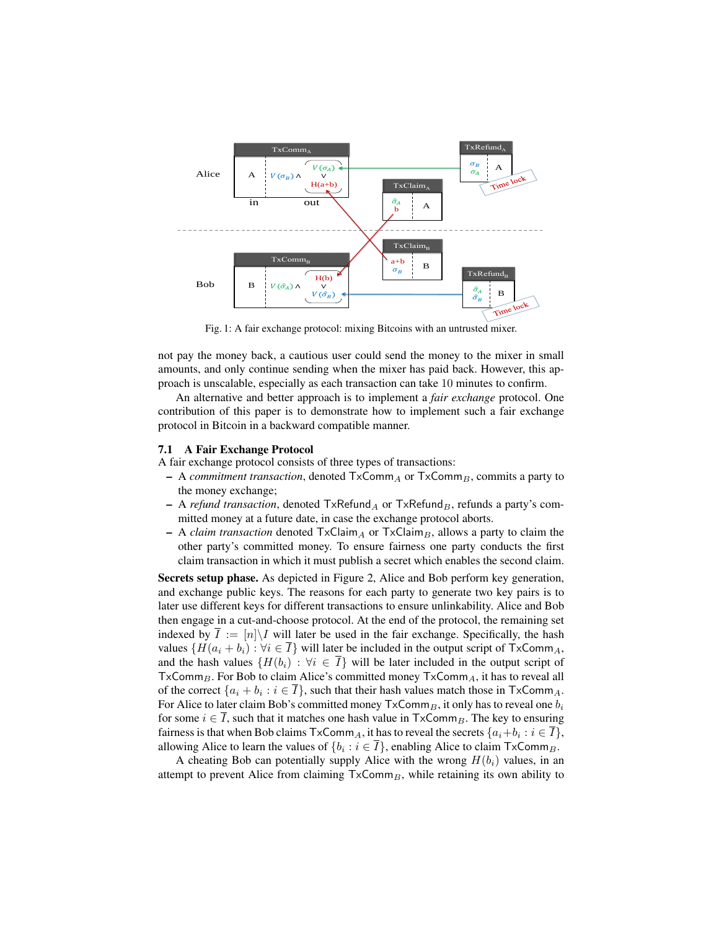

Fig. 1: A fair exchange protocol: mixing Bitcoins with an untrusted mixer.

not pay the money back, a cautious user could send the money to the mixer in small amounts, and only continue sending when the mixer has paid back. However, this approach is unscalable, especially as each transaction can take 10 minutes to confirm.

An alternative and better approach is to implement a *fair exchange* protocol. One contribution of this paper is to demonstrate how to implement such a fair exchange protocol in Bitcoin in a backward compatible manner.

#### 7.1 A Fair Exchange Protocol

A fair exchange protocol consists of three types of transactions:

- $-$  A *commitment transaction*, denoted  $TxComm_A$  or  $TxComm_B$ , commits a party to the money exchange;
- $-$  A *refund transaction*, denoted  $T \times \text{Refund}_A$  or  $T \times \text{Refund}_B$ , refunds a party's committed money at a future date, in case the exchange protocol aborts.
- $-$  A *claim transaction* denoted TxClaim<sub>A</sub> or TxClaim<sub>B</sub>, allows a party to claim the other party's committed money. To ensure fairness one party conducts the first claim transaction in which it must publish a secret which enables the second claim.

Secrets setup phase. As depicted in Figure 2, Alice and Bob perform key generation, and exchange public keys. The reasons for each party to generate two key pairs is to later use different keys for different transactions to ensure unlinkability. Alice and Bob then engage in a cut-and-choose protocol. At the end of the protocol, the remaining set indexed by  $\overline{I} := [n] \setminus I$  will later be used in the fair exchange. Specifically, the hash values  $\{H(a_i + b_i) : \forall i \in \overline{I}\}\$  will later be included in the output script of  $TxComm_A$ , and the hash values  $\{H(b_i) : \forall i \in \overline{I}\}\$  will be later included in the output script of  $TxComm<sub>B</sub>$ . For Bob to claim Alice's committed money  $TxComm<sub>A</sub>$ , it has to reveal all of the correct  $\{a_i + b_i : i \in \overline{I}\}\$ , such that their hash values match those in  $TxComm_A$ . For Alice to later claim Bob's committed money  $TxComm_B$ , it only has to reveal one  $b_i$ for some  $i \in \overline{I}$ , such that it matches one hash value in TxComm<sub>B</sub>. The key to ensuring fairness is that when Bob claims  $\mathsf{TxComm}_A$ , it has to reveal the secrets  $\{a_i+b_i : i \in I\}$ , allowing Alice to learn the values of  $\{b_i : i \in \overline{I}\}$ , enabling Alice to claim  $\mathsf{TxComm}_B$ .

A cheating Bob can potentially supply Alice with the wrong  $H(b<sub>i</sub>)$  values, in an attempt to prevent Alice from claiming  $TxComm<sub>B</sub>$ , while retaining its own ability to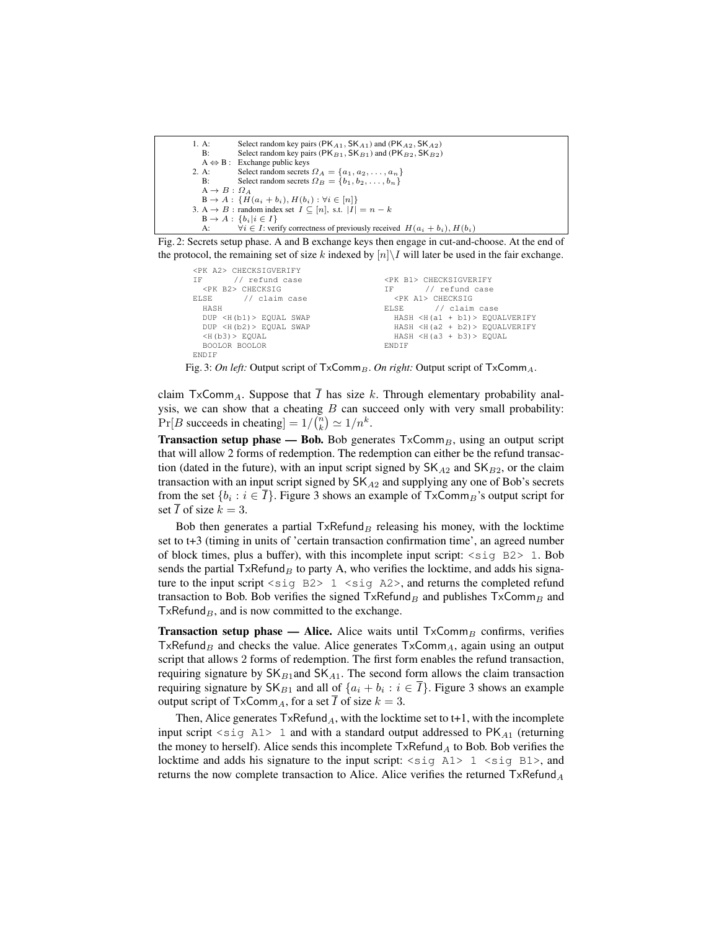```
1. A: Select random key pairs (PK_{A1}, SK_{A1}) and (PK_{A2}, SK_{B2})<br>B: Select random key pairs (PK_{B1}, SK_{B2}) and (PK_{B2}, SK_{B2})Select random key pairs (PK_{B1}, SK_{B1}) and (PK_{B2}, SK_{B2})
A \Leftrightarrow B : Exchange public keys<br>2. A: Select random secrets
    A: Select random secrets \Omega_A = \{a_1, a_2, \ldots, a_n\}<br>B: Select random secrets \Omega_B = \{b_1, b_2, \ldots, b_n\}Select random secrets \Omega_B = \{b_1, b_2, \ldots, b_n\}A \rightarrow B : \Omega_AB \rightarrow A: {\overrightarrow{H}(a_i + b_i), H(b_i): \forall i \in [n]}
3. A \rightarrow B : random index set I \subseteq [n], s.t. |I| = n - kB \to A : \{b_i | i \in I\}A: \forall i \in I: verify correctness of previously received H(a_i + b_i), H(b_i)
```


```
<PK A2> CHECKSIGVERIFY
IF // refund case
<PK B2> CHECKSIG
ELSE // claim case
  HASH
  DUP <H(b1)> EQUAL SWAP
 DUP <H(b2)> EQUAL SWAP
  <H(b3) > EQUAL
 BOOLOR BOOLOR
ENDIF
                                       <PK B1> CHECKSIGVERIFY
                                       IF // refund case
                                         <PK A1> CHECKSIG
                                       ELSE // claim case
                                         HASH <H(a1 + b1)> EQUALVERIFY
                                         HASH <H(a2 + b2)> EQUALVERIFY
                                         HASH <H(a3 + b3)> EQUAL
                                       ENDIF
```
Fig. 3: *On left:* Output script of TxComm<sub>B</sub>. *On right:* Output script of TxComm<sub>A</sub>.

claim TxComm<sub>A</sub>. Suppose that  $\overline{I}$  has size k. Through elementary probability analysis, we can show that a cheating  $B$  can succeed only with very small probability:  $Pr[B$  succeeds in cheating  $=1/\binom{n}{k} \simeq 1/n^k$ .

**Transaction setup phase — Bob.** Bob generates  $TxComm<sub>B</sub>$ , using an output script that will allow 2 forms of redemption. The redemption can either be the refund transaction (dated in the future), with an input script signed by  $SK_{A2}$  and  $SK_{B2}$ , or the claim transaction with an input script signed by  $SK<sub>A2</sub>$  and supplying any one of Bob's secrets from the set  $\{b_i : i \in \overline{I}\}$ . Figure 3 shows an example of  $TxComm_B$ 's output script for set  $\overline{I}$  of size  $k = 3$ .

Bob then generates a partial  $TxRefund_B$  releasing his money, with the locktime set to t+3 (timing in units of 'certain transaction confirmation time', an agreed number of block times, plus a buffer), with this incomplete input script:  $\langle \text{sig B2} \rangle$  1. Bob sends the partial  $TxRefund_B$  to party A, who verifies the locktime, and adds his signature to the input script  $\langle \text{sig B2} \rangle$  1  $\langle \text{sig A2} \rangle$ , and returns the completed refund transaction to Bob. Bob verifies the signed  $TxRefund_B$  and publishes  $TxComm_B$  and  $TxRefund<sub>B</sub>$ , and is now committed to the exchange.

**Transaction setup phase — Alice.** Alice waits until  $TxComm<sub>B</sub>$  confirms, verifies TxRefund<sub>B</sub> and checks the value. Alice generates TxComm<sub>A</sub>, again using an output script that allows 2 forms of redemption. The first form enables the refund transaction, requiring signature by  $SK_{B1}$ and  $SK_{A1}$ . The second form allows the claim transaction requiring signature by  $\mathsf{SK}_{B1}$  and all of  $\{a_i + b_i : i \in \overline{I}\}$ . Figure 3 shows an example output script of  $TxComm_A$ , for a set  $\overline{I}$  of size  $k = 3$ .

Then, Alice generates  $TxRefund_A$ , with the locktime set to t+1, with the incomplete input script  $\langle \text{sig } A1 \rangle$  1 and with a standard output addressed to PK<sub>A1</sub> (returning the money to herself). Alice sends this incomplete  $TxRefund_A$  to Bob. Bob verifies the locktime and adds his signature to the input script:  $\langle \text{sig Al} \rangle$  1  $\langle \text{sig Bl} \rangle$ , and returns the now complete transaction to Alice. Alice verifies the returned  $TxRefund_A$